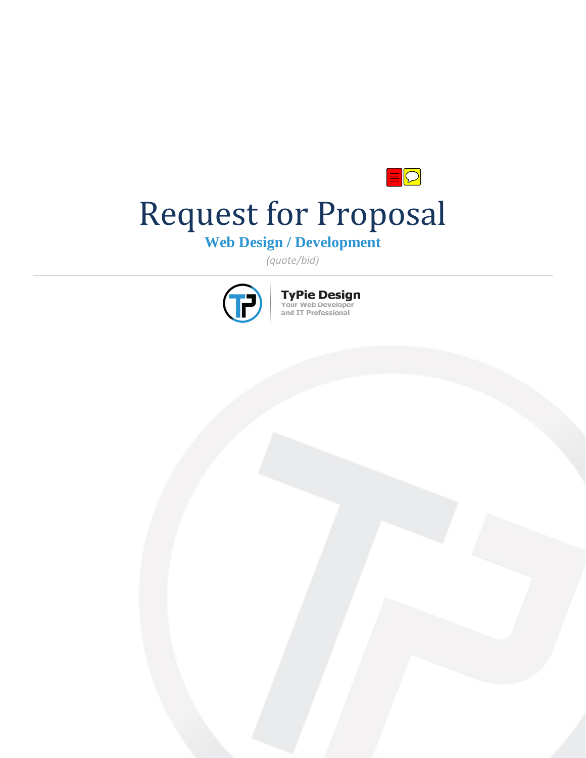# $\blacksquare$ Request for Proposal

**Web Design / Development**

*(quote/bid)*



**TyPie Design**<br>Your Web Developer<br>and IT Professional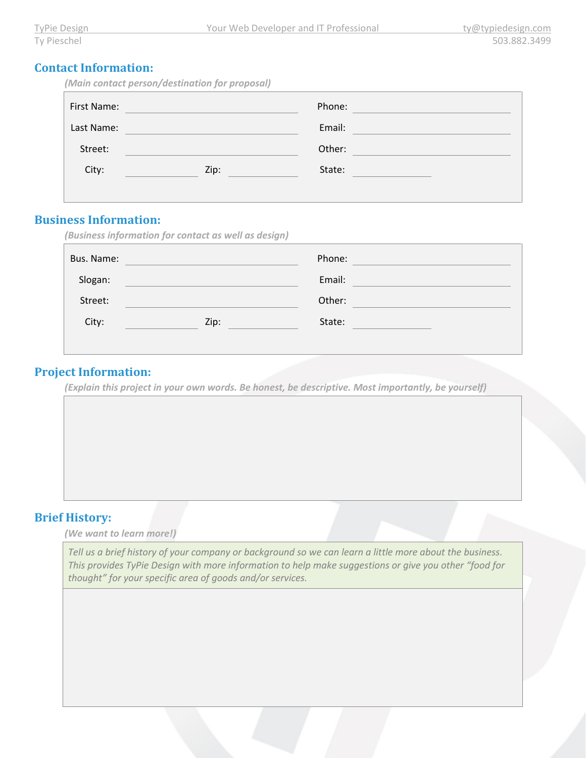| <b>Contact Information:</b> |
|-----------------------------|
|                             |

| (Main contact person/destination for proposal) |  |  |  |  |
|------------------------------------------------|--|--|--|--|
|------------------------------------------------|--|--|--|--|

| First Name: |      | Phone: |  |
|-------------|------|--------|--|
| Last Name:  |      | Email: |  |
| Street:     |      | Other: |  |
| City:       | Zip: | State: |  |
|             |      |        |  |

#### **Business Information:**

|            | (Business information for contact as well as design) |        |  |
|------------|------------------------------------------------------|--------|--|
| Bus. Name: |                                                      | Phone: |  |
| Slogan:    |                                                      | Email: |  |
| Street:    |                                                      | Other: |  |
| City:      | Zip:                                                 | State: |  |
|            |                                                      |        |  |

#### **Project Information:**

*(Explain this project in your own words. Be honest, be descriptive. Most importantly, be yourself)*

# **Brief History:**

*(We want to learn more!)* 

*Tell us a brief history of your company or background so we can learn a little more about the business. This provides TyPie Design with more information to help make suggestions or give you other "food for thought" for your specific area of goods and/or services.*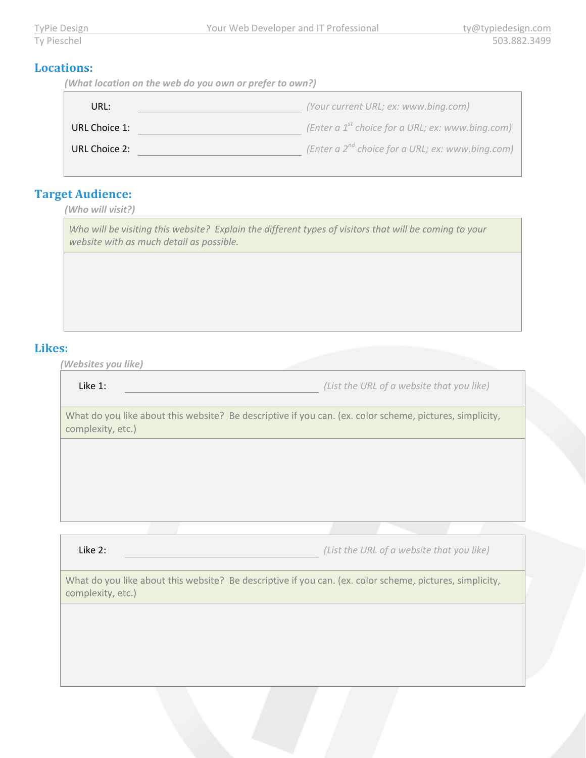#### **Locations:**

*(What location on the web do you own or prefer to own?)*

| URL:          | (Your current URL; ex: www.bing.com)                  |
|---------------|-------------------------------------------------------|
| URL Choice 1: | (Enter a $1^{st}$ choice for a URL; ex: www.bing.com) |
| URL Choice 2: | (Enter a $2^{nd}$ choice for a URL; ex: www.bing.com) |

## **Target Audience:**

*(Who will visit?)*

*Who will be visiting this website? Explain the different types of visitors that will be coming to your website with as much detail as possible.* 

#### **Likes:**

*(Websites you like)*

Like 1: *(List the URL of a website that you like)*

What do you like about this website? Be descriptive if you can. (ex. color scheme, pictures, simplicity, complexity, etc.)

Like 2: *(List the URL of a website that you like)*

What do you like about this website? Be descriptive if you can. (ex. color scheme, pictures, simplicity, complexity, etc.)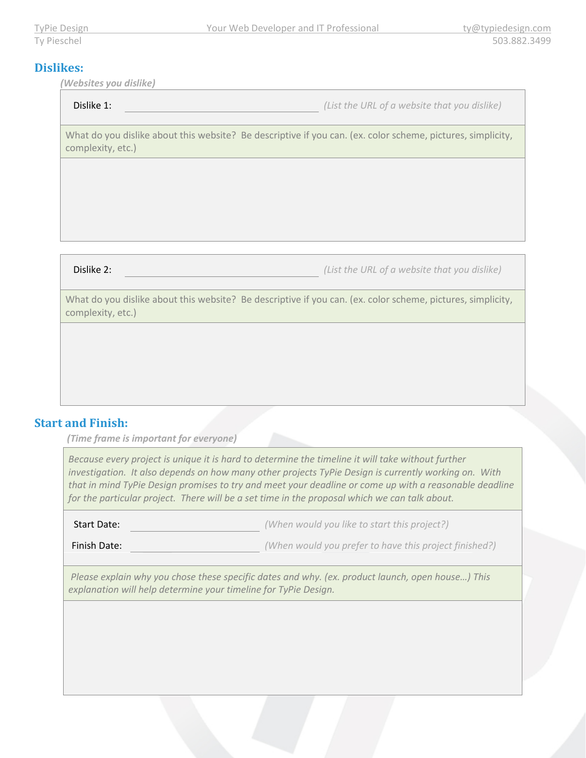## **Dislikes:**

*(Websites you dislike)*

Dislike 1: *(List the URL of a website that you dislike)*

What do you dislike about this website? Be descriptive if you can. (ex. color scheme, pictures, simplicity, complexity, etc.)

Dislike 2: *(List the URL of a website that you dislike)*

What do you dislike about this website? Be descriptive if you can. (ex. color scheme, pictures, simplicity, complexity, etc.)

## **Start and Finish:**

*(Time frame is important for everyone)*

*Because every project is unique it is hard to determine the timeline it will take without further investigation. It also depends on how many other projects TyPie Design is currently working on. With that in mind TyPie Design promises to try and meet your deadline or come up with a reasonable deadline for the particular project. There will be a set time in the proposal which we can talk about.*

Start Date: *(When would you like to start this project?)*

Finish Date: *(When would you prefer to have this project finished?)*

*Please explain why you chose these specific dates and why. (ex. product launch, open house…) This explanation will help determine your timeline for TyPie Design.*